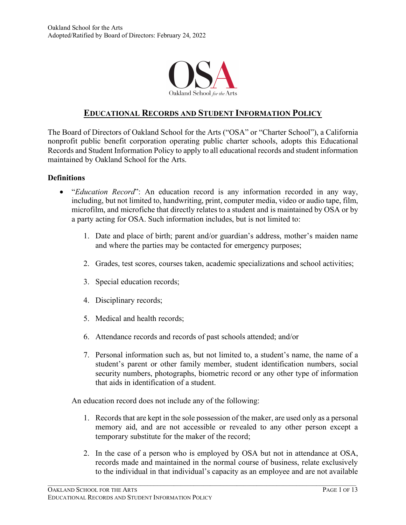

# **EDUCATIONAL RECORDS AND STUDENT INFORMATION POLICY**

The Board of Directors of Oakland School for the Arts ("OSA" or "Charter School"), a California nonprofit public benefit corporation operating public charter schools, adopts this Educational Records and Student Information Policy to apply to all educational records and student information maintained by Oakland School for the Arts.

#### **Definitions**

- "*Education Record*": An education record is any information recorded in any way, including, but not limited to, handwriting, print, computer media, video or audio tape, film, microfilm, and microfiche that directly relates to a student and is maintained by OSA or by a party acting for OSA. Such information includes, but is not limited to:
	- 1. Date and place of birth; parent and/or guardian's address, mother's maiden name and where the parties may be contacted for emergency purposes;
	- 2. Grades, test scores, courses taken, academic specializations and school activities;
	- 3. Special education records;
	- 4. Disciplinary records;
	- 5. Medical and health records;
	- 6. Attendance records and records of past schools attended; and/or
	- 7. Personal information such as, but not limited to, a student's name, the name of a student's parent or other family member, student identification numbers, social security numbers, photographs, biometric record or any other type of information that aids in identification of a student.

An education record does not include any of the following:

- 1. Records that are kept in the sole possession of the maker, are used only as a personal memory aid, and are not accessible or revealed to any other person except a temporary substitute for the maker of the record;
- 2. In the case of a person who is employed by OSA but not in attendance at OSA, records made and maintained in the normal course of business, relate exclusively to the individual in that individual's capacity as an employee and are not available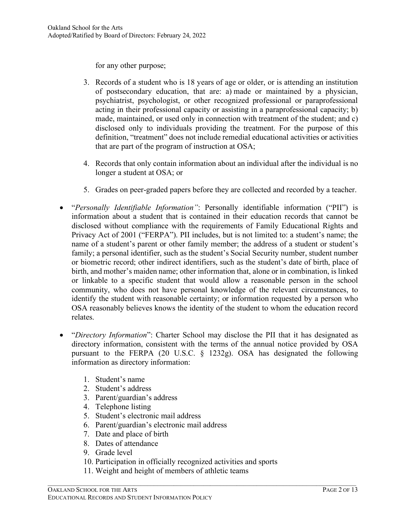for any other purpose;

- 3. Records of a student who is 18 years of age or older, or is attending an institution of postsecondary education, that are: a) made or maintained by a physician, psychiatrist, psychologist, or other recognized professional or paraprofessional acting in their professional capacity or assisting in a paraprofessional capacity; b) made, maintained, or used only in connection with treatment of the student; and c) disclosed only to individuals providing the treatment. For the purpose of this definition, "treatment" does not include remedial educational activities or activities that are part of the program of instruction at OSA;
- 4. Records that only contain information about an individual after the individual is no longer a student at OSA; or
- 5. Grades on peer-graded papers before they are collected and recorded by a teacher.
- "*Personally Identifiable Information"*: Personally identifiable information ("PII") is information about a student that is contained in their education records that cannot be disclosed without compliance with the requirements of Family Educational Rights and Privacy Act of 2001 ("FERPA"). PII includes, but is not limited to: a student's name; the name of a student's parent or other family member; the address of a student or student's family; a personal identifier, such as the student's Social Security number, student number or biometric record; other indirect identifiers, such as the student's date of birth, place of birth, and mother's maiden name; other information that, alone or in combination, is linked or linkable to a specific student that would allow a reasonable person in the school community, who does not have personal knowledge of the relevant circumstances, to identify the student with reasonable certainty; or information requested by a person who OSA reasonably believes knows the identity of the student to whom the education record relates.
- "*Directory Information*": Charter School may disclose the PII that it has designated as directory information, consistent with the terms of the annual notice provided by OSA pursuant to the FERPA (20 U.S.C. § 1232g). OSA has designated the following information as directory information:
	- 1. Student's name
	- 2. Student's address
	- 3. Parent/guardian's address
	- 4. Telephone listing
	- 5. Student's electronic mail address
	- 6. Parent/guardian's electronic mail address
	- 7. Date and place of birth
	- 8. Dates of attendance
	- 9. Grade level
	- 10. Participation in officially recognized activities and sports

 $\mathcal{L}_\mathcal{L} = \{ \mathcal{L}_\mathcal{L} = \{ \mathcal{L}_\mathcal{L} = \{ \mathcal{L}_\mathcal{L} = \{ \mathcal{L}_\mathcal{L} = \{ \mathcal{L}_\mathcal{L} = \{ \mathcal{L}_\mathcal{L} = \{ \mathcal{L}_\mathcal{L} = \{ \mathcal{L}_\mathcal{L} = \{ \mathcal{L}_\mathcal{L} = \{ \mathcal{L}_\mathcal{L} = \{ \mathcal{L}_\mathcal{L} = \{ \mathcal{L}_\mathcal{L} = \{ \mathcal{L}_\mathcal{L} = \{ \mathcal{L}_\mathcal{$ 

11. Weight and height of members of athletic teams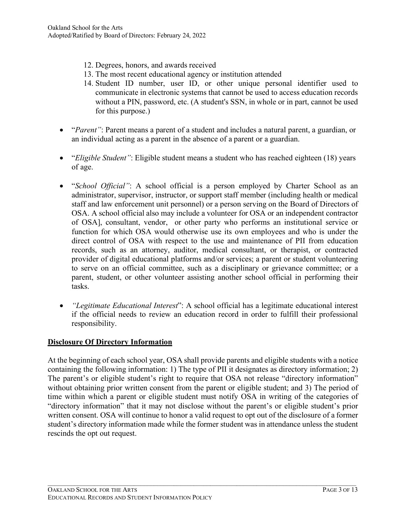- 12. Degrees, honors, and awards received
- 13. The most recent educational agency or institution attended
- 14. Student ID number, user ID, or other unique personal identifier used to communicate in electronic systems that cannot be used to access education records without a PIN, password, etc. (A student's SSN, in whole or in part, cannot be used for this purpose.)
- *"Parent"*: Parent means a parent of a student and includes a natural parent, a guardian, or an individual acting as a parent in the absence of a parent or a guardian.
- "*Eligible Student"*: Eligible student means a student who has reached eighteen (18) years of age.
- "*School Official"*: A school official is a person employed by Charter School as an administrator, supervisor, instructor, or support staff member (including health or medical staff and law enforcement unit personnel) or a person serving on the Board of Directors of OSA. A school official also may include a volunteer for OSA or an independent contractor of OSA], consultant, vendor, or other party who performs an institutional service or function for which OSA would otherwise use its own employees and who is under the direct control of OSA with respect to the use and maintenance of PII from education records, such as an attorney, auditor, medical consultant, or therapist, or contracted provider of digital educational platforms and/or services; a parent or student volunteering to serve on an official committee, such as a disciplinary or grievance committee; or a parent, student, or other volunteer assisting another school official in performing their tasks.
- *"Legitimate Educational Interest*": A school official has a legitimate educational interest if the official needs to review an education record in order to fulfill their professional responsibility.

## **Disclosure Of Directory Information**

At the beginning of each school year, OSA shall provide parents and eligible students with a notice containing the following information: 1) The type of PII it designates as directory information; 2) The parent's or eligible student's right to require that OSA not release "directory information" without obtaining prior written consent from the parent or eligible student; and 3) The period of time within which a parent or eligible student must notify OSA in writing of the categories of "directory information" that it may not disclose without the parent's or eligible student's prior written consent. OSA will continue to honor a valid request to opt out of the disclosure of a former student's directory information made while the former student was in attendance unless the student rescinds the opt out request.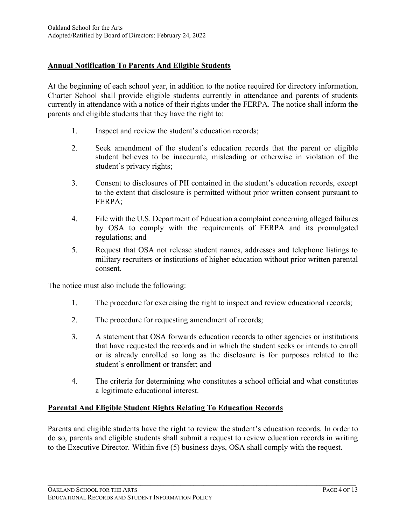## **Annual Notification To Parents And Eligible Students**

At the beginning of each school year, in addition to the notice required for directory information, Charter School shall provide eligible students currently in attendance and parents of students currently in attendance with a notice of their rights under the FERPA. The notice shall inform the parents and eligible students that they have the right to:

- 1. Inspect and review the student's education records;
- 2. Seek amendment of the student's education records that the parent or eligible student believes to be inaccurate, misleading or otherwise in violation of the student's privacy rights;
- 3. Consent to disclosures of PII contained in the student's education records, except to the extent that disclosure is permitted without prior written consent pursuant to FERPA;
- 4. File with the U.S. Department of Education a complaint concerning alleged failures by OSA to comply with the requirements of FERPA and its promulgated regulations; and
- 5. Request that OSA not release student names, addresses and telephone listings to military recruiters or institutions of higher education without prior written parental consent.

The notice must also include the following:

- 1. The procedure for exercising the right to inspect and review educational records;
- 2. The procedure for requesting amendment of records;
- 3. A statement that OSA forwards education records to other agencies or institutions that have requested the records and in which the student seeks or intends to enroll or is already enrolled so long as the disclosure is for purposes related to the student's enrollment or transfer; and
- 4. The criteria for determining who constitutes a school official and what constitutes a legitimate educational interest.

## **Parental And Eligible Student Rights Relating To Education Records**

Parents and eligible students have the right to review the student's education records. In order to do so, parents and eligible students shall submit a request to review education records in writing to the Executive Director. Within five (5) business days, OSA shall comply with the request.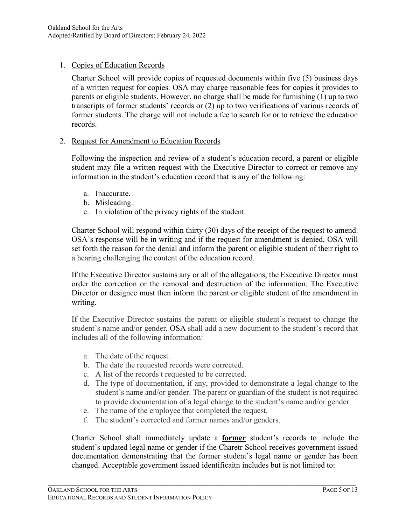## 1. Copies of Education Records

Charter School will provide copies of requested documents within five (5) business days of a written request for copies. OSA may charge reasonable fees for copies it provides to parents or eligible students. However, no charge shall be made for furnishing (1) up to two transcripts of former students' records or (2) up to two verifications of various records of former students. The charge will not include a fee to search for or to retrieve the education records.

#### 2. Request for Amendment to Education Records

Following the inspection and review of a student's education record, a parent or eligible student may file a written request with the Executive Director to correct or remove any information in the student's education record that is any of the following:

- a. Inaccurate.
- b. Misleading.
- c. In violation of the privacy rights of the student.

Charter School will respond within thirty (30) days of the receipt of the request to amend. OSA's response will be in writing and if the request for amendment is denied, OSA will set forth the reason for the denial and inform the parent or eligible student of their right to a hearing challenging the content of the education record.

If the Executive Director sustains any or all of the allegations, the Executive Director must order the correction or the removal and destruction of the information. The Executive Director or designee must then inform the parent or eligible student of the amendment in writing.

If the Executive Director sustains the parent or eligible student's request to change the student's name and/or gender, OSA shall add a new document to the student's record that includes all of the following information:

- a. The date of the request.
- b. The date the requested records were corrected.
- c. A list of the records t requested to be corrected.
- d. The type of documentation, if any, provided to demonstrate a legal change to the student's name and/or gender. The parent or guardian of the student is not required to provide documentation of a legal change to the student's name and/or gender.
- e. The name of the employee that completed the request.
- f. The student's corrected and former names and/or genders.

Charter School shall immediately update a **former** student's records to include the student's updated legal name or gender if the Charetr School receives government-issued documentation demonstrating that the former student's legal name or gender has been changed. Acceptable government issued identificaitn includes but is not limited to: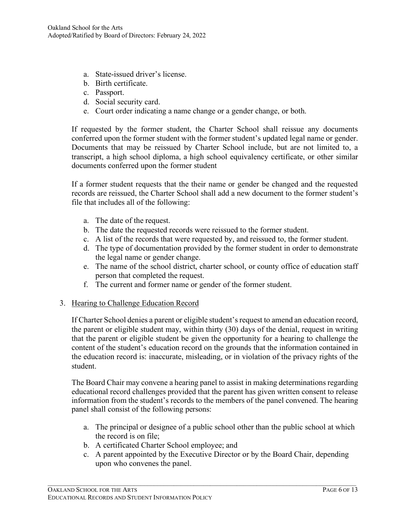- a. State-issued driver's license.
- b. Birth certificate.
- c. Passport.
- d. Social security card.
- e. Court order indicating a name change or a gender change, or both.

If requested by the former student, the Charter School shall reissue any documents conferred upon the former student with the former student's updated legal name or gender. Documents that may be reissued by Charter School include, but are not limited to, a transcript, a high school diploma, a high school equivalency certificate, or other similar documents conferred upon the former student

If a former student requests that the their name or gender be changed and the requested records are reissued, the Charter School shall add a new document to the former student's file that includes all of the following:

- a. The date of the request.
- b. The date the requested records were reissued to the former student.
- c. A list of the records that were requested by, and reissued to, the former student.
- d. The type of documentation provided by the former student in order to demonstrate the legal name or gender change.
- e. The name of the school district, charter school, or county office of education staff person that completed the request.
- f. The current and former name or gender of the former student.
- 3. Hearing to Challenge Education Record

If Charter School denies a parent or eligible student's request to amend an education record, the parent or eligible student may, within thirty (30) days of the denial, request in writing that the parent or eligible student be given the opportunity for a hearing to challenge the content of the student's education record on the grounds that the information contained in the education record is: inaccurate, misleading, or in violation of the privacy rights of the student.

The Board Chair may convene a hearing panel to assist in making determinations regarding educational record challenges provided that the parent has given written consent to release information from the student's records to the members of the panel convened. The hearing panel shall consist of the following persons:

- a. The principal or designee of a public school other than the public school at which the record is on file;
- b. A certificated Charter School employee; and
- c. A parent appointed by the Executive Director or by the Board Chair, depending upon who convenes the panel.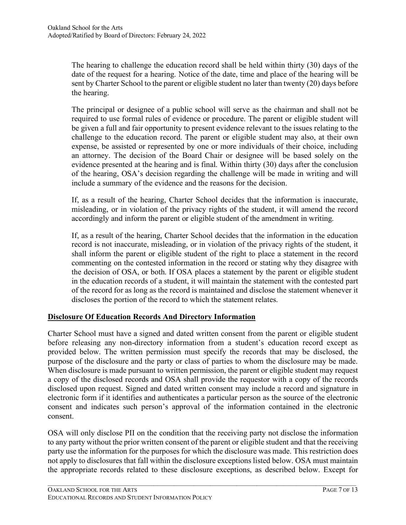The hearing to challenge the education record shall be held within thirty (30) days of the date of the request for a hearing. Notice of the date, time and place of the hearing will be sent by Charter School to the parent or eligible student no later than twenty (20) days before the hearing.

The principal or designee of a public school will serve as the chairman and shall not be required to use formal rules of evidence or procedure. The parent or eligible student will be given a full and fair opportunity to present evidence relevant to the issues relating to the challenge to the education record. The parent or eligible student may also, at their own expense, be assisted or represented by one or more individuals of their choice, including an attorney. The decision of the Board Chair or designee will be based solely on the evidence presented at the hearing and is final. Within thirty (30) days after the conclusion of the hearing, OSA's decision regarding the challenge will be made in writing and will include a summary of the evidence and the reasons for the decision.

If, as a result of the hearing, Charter School decides that the information is inaccurate, misleading, or in violation of the privacy rights of the student, it will amend the record accordingly and inform the parent or eligible student of the amendment in writing.

If, as a result of the hearing, Charter School decides that the information in the education record is not inaccurate, misleading, or in violation of the privacy rights of the student, it shall inform the parent or eligible student of the right to place a statement in the record commenting on the contested information in the record or stating why they disagree with the decision of OSA, or both. If OSA places a statement by the parent or eligible student in the education records of a student, it will maintain the statement with the contested part of the record for as long as the record is maintained and disclose the statement whenever it discloses the portion of the record to which the statement relates.

## **Disclosure Of Education Records And Directory Information**

Charter School must have a signed and dated written consent from the parent or eligible student before releasing any non-directory information from a student's education record except as provided below. The written permission must specify the records that may be disclosed, the purpose of the disclosure and the party or class of parties to whom the disclosure may be made. When disclosure is made pursuant to written permission, the parent or eligible student may request a copy of the disclosed records and OSA shall provide the requestor with a copy of the records disclosed upon request. Signed and dated written consent may include a record and signature in electronic form if it identifies and authenticates a particular person as the source of the electronic consent and indicates such person's approval of the information contained in the electronic consent.

OSA will only disclose PII on the condition that the receiving party not disclose the information to any party without the prior written consent of the parent or eligible student and that the receiving party use the information for the purposes for which the disclosure was made. This restriction does not apply to disclosures that fall within the disclosure exceptions listed below. OSA must maintain the appropriate records related to these disclosure exceptions, as described below. Except for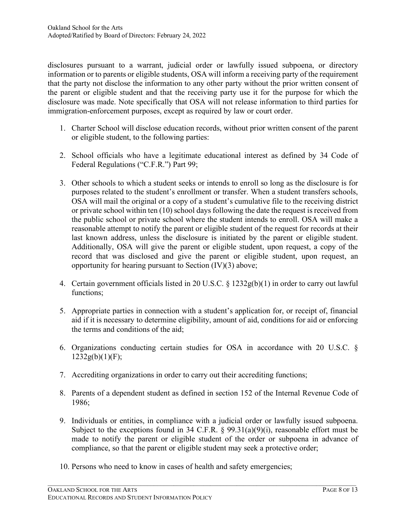disclosures pursuant to a warrant, judicial order or lawfully issued subpoena, or directory information or to parents or eligible students, OSA will inform a receiving party of the requirement that the party not disclose the information to any other party without the prior written consent of the parent or eligible student and that the receiving party use it for the purpose for which the disclosure was made. Note specifically that OSA will not release information to third parties for immigration-enforcement purposes, except as required by law or court order.

- 1. Charter School will disclose education records, without prior written consent of the parent or eligible student, to the following parties:
- 2. School officials who have a legitimate educational interest as defined by 34 Code of Federal Regulations ("C.F.R.") Part 99;
- 3. Other schools to which a student seeks or intends to enroll so long as the disclosure is for purposes related to the student's enrollment or transfer. When a student transfers schools, OSA will mail the original or a copy of a student's cumulative file to the receiving district or private school within ten (10) school days following the date the request is received from the public school or private school where the student intends to enroll. OSA will make a reasonable attempt to notify the parent or eligible student of the request for records at their last known address, unless the disclosure is initiated by the parent or eligible student. Additionally, OSA will give the parent or eligible student, upon request, a copy of the record that was disclosed and give the parent or eligible student, upon request, an opportunity for hearing pursuant to Section (IV)(3) above;
- 4. Certain government officials listed in 20 U.S.C. § 1232g(b)(1) in order to carry out lawful functions;
- 5. Appropriate parties in connection with a student's application for, or receipt of, financial aid if it is necessary to determine eligibility, amount of aid, conditions for aid or enforcing the terms and conditions of the aid;
- 6. Organizations conducting certain studies for OSA in accordance with 20 U.S.C. §  $1232g(b)(1)(F);$
- 7. Accrediting organizations in order to carry out their accrediting functions;
- 8. Parents of a dependent student as defined in section 152 of the Internal Revenue Code of 1986;
- 9. Individuals or entities, in compliance with a judicial order or lawfully issued subpoena. Subject to the exceptions found in 34 C.F.R.  $\S$  99.31(a)(9)(i), reasonable effort must be made to notify the parent or eligible student of the order or subpoena in advance of compliance, so that the parent or eligible student may seek a protective order;

 $\mathcal{L}_\mathcal{L} = \{ \mathcal{L}_\mathcal{L} = \{ \mathcal{L}_\mathcal{L} = \{ \mathcal{L}_\mathcal{L} = \{ \mathcal{L}_\mathcal{L} = \{ \mathcal{L}_\mathcal{L} = \{ \mathcal{L}_\mathcal{L} = \{ \mathcal{L}_\mathcal{L} = \{ \mathcal{L}_\mathcal{L} = \{ \mathcal{L}_\mathcal{L} = \{ \mathcal{L}_\mathcal{L} = \{ \mathcal{L}_\mathcal{L} = \{ \mathcal{L}_\mathcal{L} = \{ \mathcal{L}_\mathcal{L} = \{ \mathcal{L}_\mathcal{$ 

10. Persons who need to know in cases of health and safety emergencies;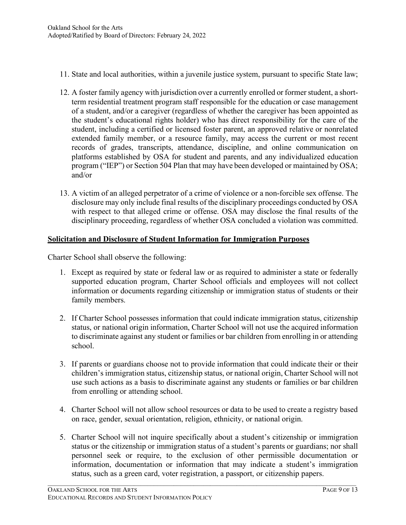- 11. State and local authorities, within a juvenile justice system, pursuant to specific State law;
- 12. A foster family agency with jurisdiction over a currently enrolled or former student, a shortterm residential treatment program staff responsible for the education or case management of a student, and/or a caregiver (regardless of whether the caregiver has been appointed as the student's educational rights holder) who has direct responsibility for the care of the student, including a certified or licensed foster parent, an approved relative or nonrelated extended family member, or a resource family, may access the current or most recent records of grades, transcripts, attendance, discipline, and online communication on platforms established by OSA for student and parents, and any individualized education program ("IEP") or Section 504 Plan that may have been developed or maintained by OSA; and/or
- 13. A victim of an alleged perpetrator of a crime of violence or a non-forcible sex offense. The disclosure may only include final results of the disciplinary proceedings conducted by OSA with respect to that alleged crime or offense. OSA may disclose the final results of the disciplinary proceeding, regardless of whether OSA concluded a violation was committed.

#### **Solicitation and Disclosure of Student Information for Immigration Purposes**

Charter School shall observe the following:

- 1. Except as required by state or federal law or as required to administer a state or federally supported education program, Charter School officials and employees will not collect information or documents regarding citizenship or immigration status of students or their family members.
- 2. If Charter School possesses information that could indicate immigration status, citizenship status, or national origin information, Charter School will not use the acquired information to discriminate against any student or families or bar children from enrolling in or attending school.
- 3. If parents or guardians choose not to provide information that could indicate their or their children's immigration status, citizenship status, or national origin, Charter School will not use such actions as a basis to discriminate against any students or families or bar children from enrolling or attending school.
- 4. Charter School will not allow school resources or data to be used to create a registry based on race, gender, sexual orientation, religion, ethnicity, or national origin.
- 5. Charter School will not inquire specifically about a student's citizenship or immigration status or the citizenship or immigration status of a student's parents or guardians; nor shall personnel seek or require, to the exclusion of other permissible documentation or information, documentation or information that may indicate a student's immigration status, such as a green card, voter registration, a passport, or citizenship papers.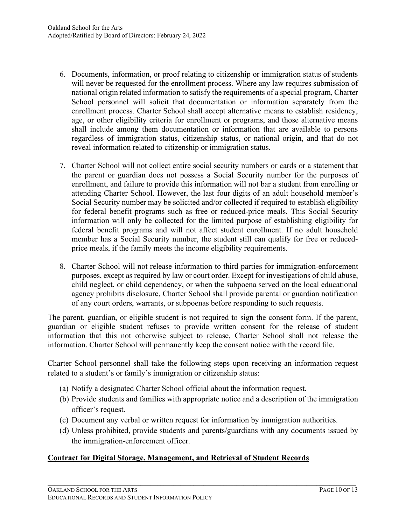- 6. Documents, information, or proof relating to citizenship or immigration status of students will never be requested for the enrollment process. Where any law requires submission of national origin related information to satisfy the requirements of a special program, Charter School personnel will solicit that documentation or information separately from the enrollment process. Charter School shall accept alternative means to establish residency, age, or other eligibility criteria for enrollment or programs, and those alternative means shall include among them documentation or information that are available to persons regardless of immigration status, citizenship status, or national origin, and that do not reveal information related to citizenship or immigration status.
- 7. Charter School will not collect entire social security numbers or cards or a statement that the parent or guardian does not possess a Social Security number for the purposes of enrollment, and failure to provide this information will not bar a student from enrolling or attending Charter School. However, the last four digits of an adult household member's Social Security number may be solicited and/or collected if required to establish eligibility for federal benefit programs such as free or reduced-price meals. This Social Security information will only be collected for the limited purpose of establishing eligibility for federal benefit programs and will not affect student enrollment. If no adult household member has a Social Security number, the student still can qualify for free or reducedprice meals, if the family meets the income eligibility requirements.
- 8. Charter School will not release information to third parties for immigration-enforcement purposes, except as required by law or court order. Except for investigations of child abuse, child neglect, or child dependency, or when the subpoena served on the local educational agency prohibits disclosure, Charter School shall provide parental or guardian notification of any court orders, warrants, or subpoenas before responding to such requests.

The parent, guardian, or eligible student is not required to sign the consent form. If the parent, guardian or eligible student refuses to provide written consent for the release of student information that this not otherwise subject to release, Charter School shall not release the information. Charter School will permanently keep the consent notice with the record file.

Charter School personnel shall take the following steps upon receiving an information request related to a student's or family's immigration or citizenship status:

- (a) Notify a designated Charter School official about the information request.
- (b) Provide students and families with appropriate notice and a description of the immigration officer's request.
- (c) Document any verbal or written request for information by immigration authorities.

 $\mathcal{L}_\mathcal{L} = \{ \mathcal{L}_\mathcal{L} = \{ \mathcal{L}_\mathcal{L} = \{ \mathcal{L}_\mathcal{L} = \{ \mathcal{L}_\mathcal{L} = \{ \mathcal{L}_\mathcal{L} = \{ \mathcal{L}_\mathcal{L} = \{ \mathcal{L}_\mathcal{L} = \{ \mathcal{L}_\mathcal{L} = \{ \mathcal{L}_\mathcal{L} = \{ \mathcal{L}_\mathcal{L} = \{ \mathcal{L}_\mathcal{L} = \{ \mathcal{L}_\mathcal{L} = \{ \mathcal{L}_\mathcal{L} = \{ \mathcal{L}_\mathcal{$ 

(d) Unless prohibited, provide students and parents/guardians with any documents issued by the immigration-enforcement officer.

## **Contract for Digital Storage, Management, and Retrieval of Student Records**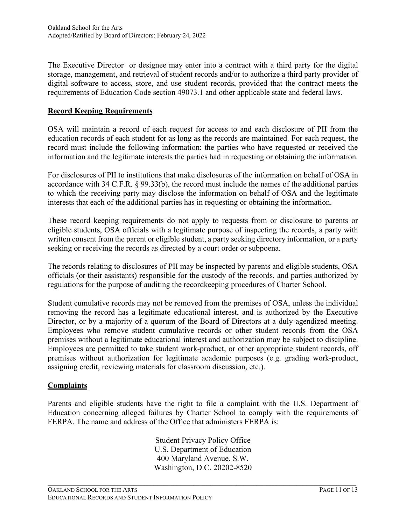The Executive Director or designee may enter into a contract with a third party for the digital storage, management, and retrieval of student records and/or to authorize a third party provider of digital software to access, store, and use student records, provided that the contract meets the requirements of Education Code section 49073.1 and other applicable state and federal laws.

# **Record Keeping Requirements**

OSA will maintain a record of each request for access to and each disclosure of PII from the education records of each student for as long as the records are maintained. For each request, the record must include the following information: the parties who have requested or received the information and the legitimate interests the parties had in requesting or obtaining the information.

For disclosures of PII to institutions that make disclosures of the information on behalf of OSA in accordance with 34 C.F.R. § 99.33(b), the record must include the names of the additional parties to which the receiving party may disclose the information on behalf of OSA and the legitimate interests that each of the additional parties has in requesting or obtaining the information.

These record keeping requirements do not apply to requests from or disclosure to parents or eligible students, OSA officials with a legitimate purpose of inspecting the records, a party with written consent from the parent or eligible student, a party seeking directory information, or a party seeking or receiving the records as directed by a court order or subpoena.

The records relating to disclosures of PII may be inspected by parents and eligible students, OSA officials (or their assistants) responsible for the custody of the records, and parties authorized by regulations for the purpose of auditing the recordkeeping procedures of Charter School.

Student cumulative records may not be removed from the premises of OSA, unless the individual removing the record has a legitimate educational interest, and is authorized by the Executive Director, or by a majority of a quorum of the Board of Directors at a duly agendized meeting. Employees who remove student cumulative records or other student records from the OSA premises without a legitimate educational interest and authorization may be subject to discipline. Employees are permitted to take student work-product, or other appropriate student records, off premises without authorization for legitimate academic purposes (e.g. grading work-product, assigning credit, reviewing materials for classroom discussion, etc.).

## **Complaints**

Parents and eligible students have the right to file a complaint with the U.S. Department of Education concerning alleged failures by Charter School to comply with the requirements of FERPA. The name and address of the Office that administers FERPA is:

> Student Privacy Policy Office U.S. Department of Education 400 Maryland Avenue. S.W. Washington, D.C. 20202-8520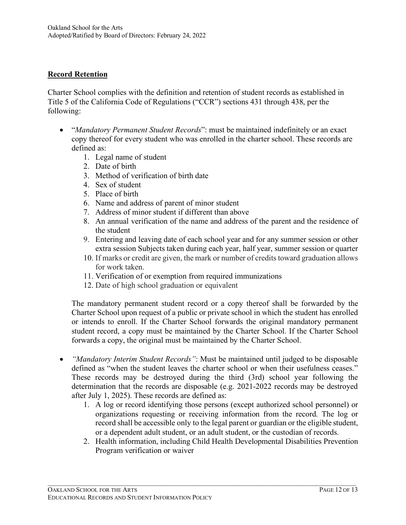## **Record Retention**

Charter School complies with the definition and retention of student records as established in Title 5 of the California Code of Regulations ("CCR") sections 431 through 438, per the following:

- "*Mandatory Permanent Student Records*": must be maintained indefinitely or an exact copy thereof for every student who was enrolled in the charter school. These records are defined as:
	- 1. Legal name of student
	- 2. Date of birth
	- 3. Method of verification of birth date
	- 4. Sex of student
	- 5. Place of birth
	- 6. Name and address of parent of minor student
	- 7. Address of minor student if different than above
	- 8. An annual verification of the name and address of the parent and the residence of the student
	- 9. Entering and leaving date of each school year and for any summer session or other extra session Subjects taken during each year, half year, summer session or quarter
	- 10. If marks or credit are given, the mark or number of credits toward graduation allows for work taken.
	- 11. Verification of or exemption from required immunizations
	- 12. Date of high school graduation or equivalent

The mandatory permanent student record or a copy thereof shall be forwarded by the Charter School upon request of a public or private school in which the student has enrolled or intends to enroll. If the Charter School forwards the original mandatory permanent student record, a copy must be maintained by the Charter School. If the Charter School forwards a copy, the original must be maintained by the Charter School.

- *"Mandatory Interim Student Records"*: Must be maintained until judged to be disposable defined as "when the student leaves the charter school or when their usefulness ceases." These records may be destroyed during the third (3rd) school year following the determination that the records are disposable (e.g. 2021-2022 records may be destroyed after July 1, 2025). These records are defined as:
	- 1. A log or record identifying those persons (except authorized school personnel) or organizations requesting or receiving information from the record. The log or record shall be accessible only to the legal parent or guardian or the eligible student, or a dependent adult student, or an adult student, or the custodian of records.
	- 2. Health information, including Child Health Developmental Disabilities Prevention Program verification or waiver